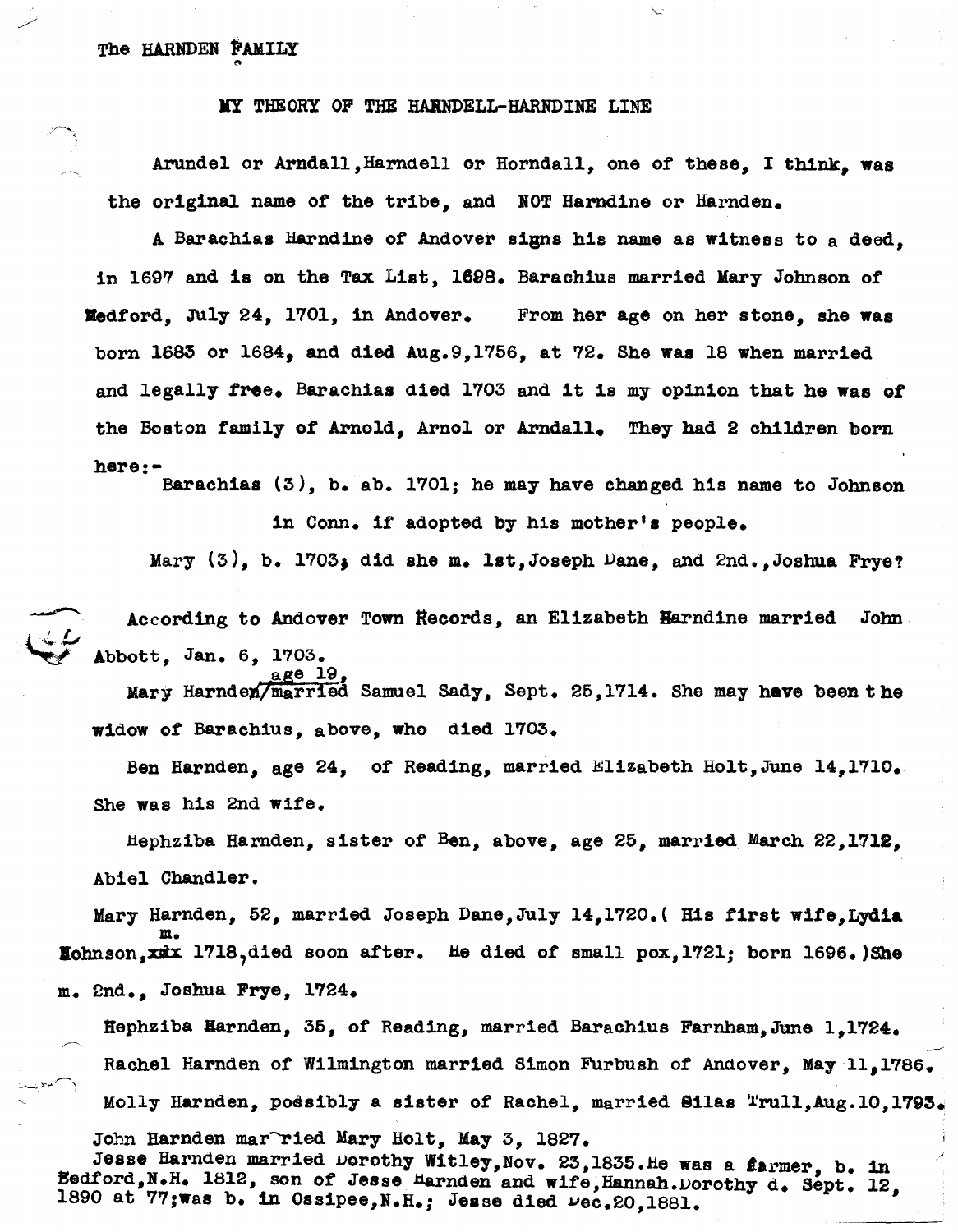IIY THEORY OF THE HAllNDELL-HARNDINE LINE

Arundel or Arndall, Harndell or Horndall, one of these, I think, was the original name of the tribe, and BOT Harndine or Harnden.

A Barachias Harndine of Andover signs his name as witness to a deed. in 1697 and is on the Tax List, 1698. Barachius married Mary Johnson of "dford, July 24, 1701, 1n Andover. From her age on her stone, she was born 1683 or 1684, and d1ed Aug.9,1756, at 72. She was 18 when married and legally free. Barachias died 1703 and it 1s my opinion that he was of the Boston family of Arnold, Arnol or Arndall. They had 2 children born here:-

Barachias  $(3)$ , b. ab. 1701; he may have changed his name to Johnson

in Conn. lf adopted by his mother's people.

Mary  $(3)$ , b. 1703, did she m. lst,Joseph Dane, and 2nd.,Joshua Frye?

According to Andover Town Records, an Elizabeth Harndine married John. ~ Abbott, Jan. 6, 1703.

Mary Harnden/married Samuel Sady, Sept. 25,1714. She may have been the widow of Barachius, above, who died 1703.

Ben Harnden, age 24, of Reading, married Elizabeth Holt, June 14,1710. She was his 2nd wlfe.

Hephz1ba Harnden, slster of Ben, above, age 25, marrled March 22,1718, Abiel Chandler.

Mary Harnden, 52, married Joseph Dane, July 14,1720. (His first wife, Lydia m. Kohnson,xmx 1718,died soon after. He died of small pox, 1721; born 1696.)She m. 2nd., Joshua Frye, 1724.

Hephziba Harnden, 35, of Reading, married Barachius Farnham,June 1,1724. Rachel Harnden of Wilmington married Simon Furbush of Andover, May 11,1786. Molly Harnden, podsibly a sister of Rachel, married Silas "rull, Aug.10,1793.

John Harnden mar~ried Mary Holt, May 3, 1827.

age 19,

Jesse Harnden married Dorothy Witley, Nov. 23, 1835. He was a  $\ell$ armer, b. in Bedford,N.H. 1812, son of Jesse Harnden and wife,Hannah.Dorothy d. Sept. 12, 1890 at  $77;$ was b. in Ossipee, N.H.; Jesse died  $\mu$ ec.20, 1881.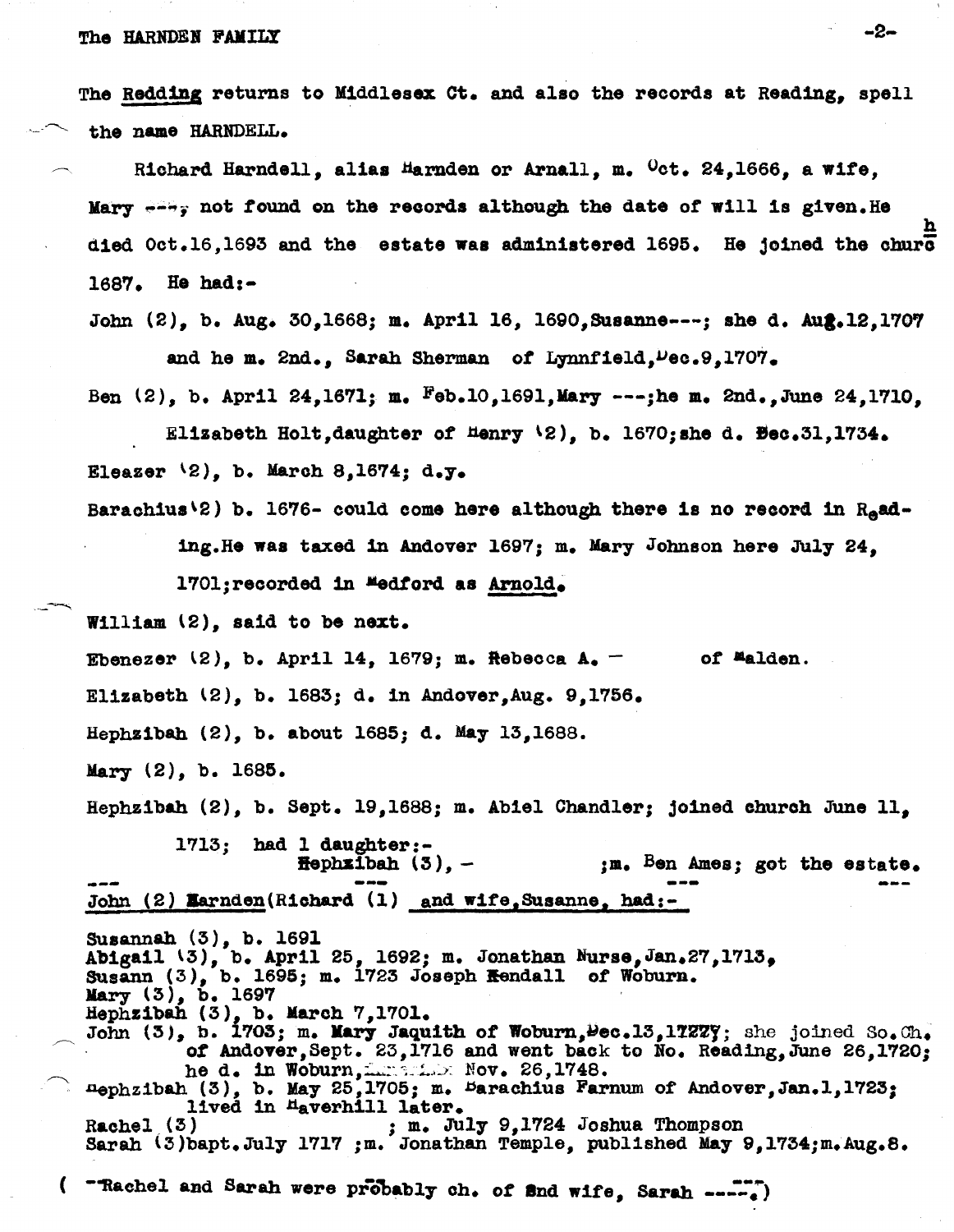# The HARNDEN FAMILY  $-2-$

The Redding returns to Middlesex Ct. and also the records at Reading, spell the name HARNDELL.

Richard Harndell, alias  $H$ arnden or Arnall, m.  $\text{Oct. } 24,1666$ , a wife, Mary  $\rightarrow$   $\rightarrow$  not found on the records although the date of will is given. He h died  $0ct.16,1693$  and the estate was administered 1695. He joined the churc 1687. He had:-

John (2), b. Aug. 30,1668; m. April 16, 1690. Susanne---; she d. Aug. 12.1707 and he m. 2nd., Sarah Sherman of Lynnfield, Dec. 9,1707.

Ben  $(2)$ , b. April 24,1671; m.  $F_{0}$ b.10,1691,Mary ---;he m. 2nd.,June 24,1710,

Elizabeth Holt,daughter of  $\text{Henry } \{2\}$ , b. 1670;she d. Bec.31,1734. Eleazer  $(2)$ , b. March 8,1674; d.y.

Barachius<sup>(2)</sup> b. 1676- could come here although there is no record in  $R_{e}$ ading. He was taxed in Andover 1697; m. Mary Johnson here July 24,

170l;recorded in **Medford as <u>Arnold</u>.**<br>William (2), said to be next.

Ebenezer  $(2)$ , b. April 14, 1679; m. Rebecca A. of Malden.

Elizabeth \2), b. 1683; d. in Andover,Aug. 9,1756.

Hephsibah (2), b. about 1685; d. May 13,1688.

Mary (2), b. 1685.

.\_--

Hephzibah (2), b. Sept. 19,1688; m. Abiel Chandler; joined church June 11,

1713; had 1 daughter:-<br>  $\text{Hephzibah}$  (3), -<br>
John (2) Marndan(Richard (1) and  $\texttt{Hephzibah}$  (3), - ,m. Ben Ames; got the estate. John (2) Earnden(Richard (1) and wife, Susanne, had:-

Susannah (3), b. 1691 Abigail \3), b. AprIl 25, 1692; m. Jonathan Nurse,Jan.27,1713, Susann  $(3)$ , b. 1695; m. 1723 Joseph <del>K</del>endall of Woburn. Mary (3), b. 1697<br>Hephzibah (3), b. March 7,1701. John (3), b. 1705; m. Mary Jaquith of Woburn, Pec. 13, 17277; she joined So. Ch. of Andover, Sept. 23, 1716 and went back to No. Reading, June 26, 1720; he d. in Woburn, Incentive Nov. 26, 1748. nephzibah (3), b. May 25,1705; m. Barachius Farnum of Andover, Jan.1,1723; lived in <sup>H</sup>averhill later.<br>Rachel (3) ; m. July 9,1724 Joshua Thompson Sarah (3) bapt.July 1717 ;m. Jonathan Temple, published May 9,1734;m.Aug.8.

( "Rachel and Sarah were probably ch. of and wife, Sarah ---.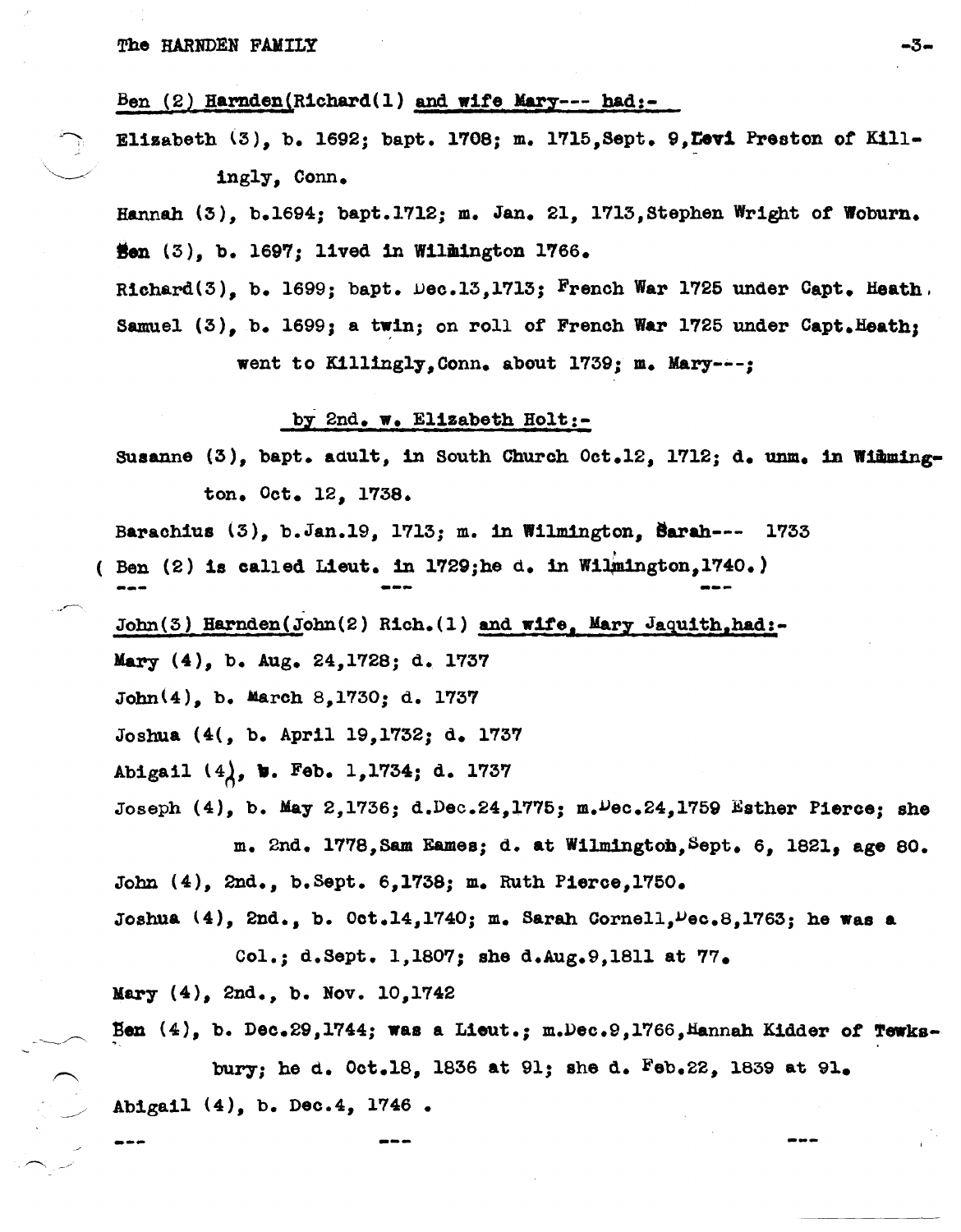Ben  $(2)$  Harnden(Richard(1) and wife Mary--- had:-

Elizabeth (3), b. 1692; bapt. 1708; m. 1715, Sept. 9, Levi Preston of Killingly, Conn.

Hannah (3), b.1694; bapt.1712; m. Jan. 21, 1713, Stephen Wright of Woburn. Hen  $(3)$ , b. 1697; lived in Willington 1766.

Richard(3). b. 1699; bapt. Dec.13.1713; French War 1725 under Capt. Heath. Samuel (3), b. 1699; a twin; on roll of French War 1725 under Capt. Heath; went to Killingly, Conn. about 1739; m. Mary---;

### by 2nd. w. Elizabeth Holt:-

Susanne (3), bapt. adult, in South Church Oct.12, 1712; d. unm. in Wimmington. Oct. 12, 1738.

Barachius (3), b. Jan. 19, 1713; m. in Wilmington, Barah--- 1733 ( Ben (2) is called Lieut. in 1729; he d. in Wilmington, 1740.)

John(3) Harnden(John(2) Rich.(1) and wife. Mary Jaquith, had:-Mary  $(4)$ , b. Aug. 24, 1728; d. 1737  $John(4)$ , b. March 8,1730; d. 1737 Joshua (4(, b. April 19, 1732; d. 1737 Abigail  $(4)$ , b. Feb. 1,1734; d. 1737 Joseph  $(4)$ , b. May 2,1736; d.Dec.24,1775; m.Dec.24,1759 Esther Pierce; she m. 2nd. 1778, Sam Eames; d. at Wilmington, Sept. 6, 1821, age 80. John (4), 2nd., b. Sept. 6, 1738; m. Ruth Pierce, 1750.

Joshua  $(4)$ , 2nd., b.  $0$ ct.14,1740; m. Sarah Cornell,  $\nu$ ec.8,1763; he was a

Col.; d.Sept. 1,1807; she d.Aug.9,1811 at  $77.$ 

Mary  $(4)$ , 2nd., b. Nov. 10, 1742

Ben  $(4)$ , b. Dec.29,1744; was a Lieut.; m.Dec.9,1766, Hannah Kidder of Tewks-

bury; he d. Oct.18, 1836 at 91; she d. Feb.22, 1839 at 91. Abigail (4), b. Dec.4, 1746.

-3-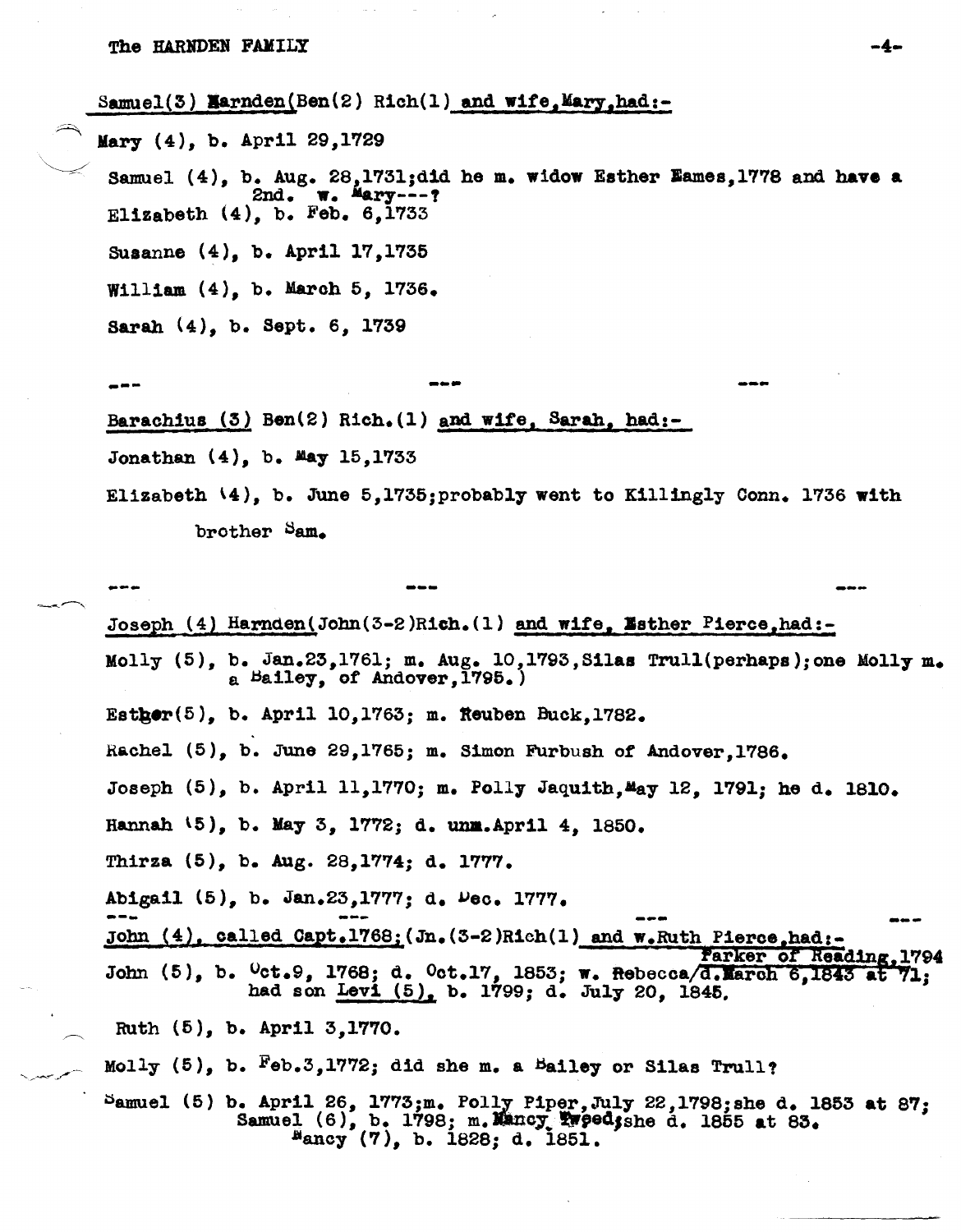Samuel(3) Marnden(Ben(2) Rich(1) and wife. Mary.had:-

Mary (4), b. April 29,1729

Samuel  $(4)$ , b. Aug. 28,1731; did he m. widow Esther Eames, 1778 and have a 2nd. w. Mary---? Elizabeth  $(4)$ , b. Feb. 6,1733 Susanne (4), b. April 17, 1735 William  $(4)$ , b. March 5, 1736.

Sarah (4), b. Sept. 6, 1739

Barachius  $(3)$  Ben $(2)$  Rich. $(1)$  and wife. Sarah. had:-

Jonathan (4), b. May 15,1733

Elizabeth  $(4)$ , b. June 5,1735; probably went to Killingly Conn. 1736 with brother Sam.

Joseph (4) Harnden (John (3-2) Rich. (1) and wife, Esther Pierce, had:-Molly  $(5)$ , b. Jan.23,1761; m. Aug. 10,1793, Silas Trull(perhaps); one Molly m. a Bailey, of Andover, 1795.) Esther $(5)$ , b. April 10,1763; m. Reuben Buck,1782. Rachel (5), b. June 29,1765; m. Simon Furbush of Andover, 1786. Joseph (5), b. April 11,1770; m. Polly Jaquith, May 12, 1791; he d. 1810. Hannah (5), b. May 3, 1772; d. unm. April 4, 1850. Thirza (5), b. Aug. 28,1774; d. 1777. Abigail (5), b. Jan.23,1777; d. Dec. 1777. John  $(4)$ , called Capt.1768;  $Jn.$  (3-2)Rich(1) and w.Ruth Pierce.had:-Parker of Reading, 1794 John (5), b. <sup>O</sup>ct.9, 1768; d. Oct.17, 1853; w. Rebecca/d. March 6, 1843 at 71; had son Levi (5), b. 1799; d. July 20, 1845. Ruth (5), b. April 3,1770. Molly (5), b. Feb.3,1772; did she m. a Bailey or Silas Trull? Samuel (5) b. April 26, 1773; m. Polly Piper, July 22, 1798; she d. 1853 at 87;<br>Samuel (6), b. 1798; m. Mancy Twoed; she d. 1855 at 83.

 $^{B}$ ancy (7), b. 1828; d. 1851.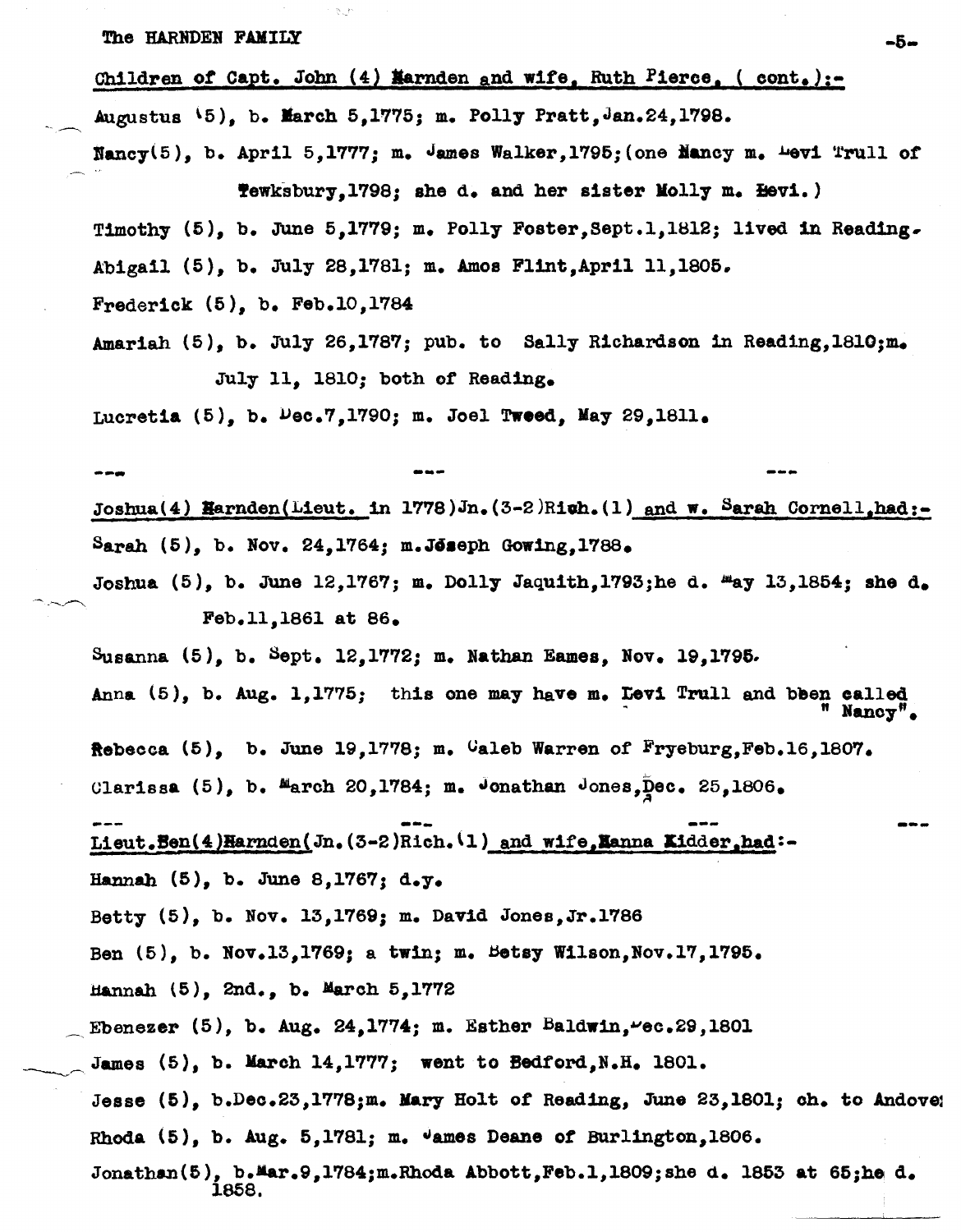Children of Capt. John  $(4)$  Marnden and wife, Ruth Pierce, ( cont.):-

Augustus  $\{5\}$ , b. March 5.1775; m. Polly Pratt, Jan. 24, 1798.

 $\texttt{Nancy}(5)$ , b. April 5,1777; m.  $\texttt{James Walker,1795; (one Nancy m. 4971 Trull of }$ Tewksbury, 1798; she d. and her sister Molly m. Hevi.)

Timothy (5), b. June 5,1779; m. Polly Foster, Sept.1, 1812; lived in Reading. Abigail (5), b. July 28,1781; m. Amos Fl1nt,April 11,1806.

Frederick (5), b. Feb.l0,1784

Amariah  $(5)$ , b. July 26,1787; pub. to Sally Richardson in Reading, 1810; m. July 11, 1810; both of Reading.

Lucretia (5), b.  $\nu$ ec.7,1790; m. Joel Tweed, May 29,1811.

--- ---

Joshua(4) Harnden(Lieut. in 1778)Jn.(3-2)Righ.(1) and w. Sarah Cornell, had:-Sarah  $(5)$ , b. Nov. 24,1764; m. Joseph Gowing,1788.

Joshua  $(5)$ , b. June 12,1767; m. Dolly Jaquith,1793;he d.  $\text{Hay } 13,1854$ ; she d. Feb.ll,1861 at 86.

Susanna (6), b. Sept. 12,1772; m. Nathan Eames, Nov. 19,1795.

Anna  $(5)$ , b. Aug. 1,1775; this one may have m. Levi Trull and been os Nancy".

Rebecca  $(5)$ , b. June 19,1778; m. Caleb Warren of Fryeburg, Feb.16,1807.

Clarissa  $(5)$ , b. March 20,1784; m. Jonathan Jones, Dec. 25,1806.

Lieut.Ben(4)Harnden(Jn. (3-2)Rich. <sup>(1</sup>) and wife, Lanna Kidder,had:-Hannah (5), b. June 8,1767; d.y.

Betty (6), b. Nov. 13,1769; m. David Jones,Jr.1786

Ben  $(5)$ , b. Nov.13,1769; a twin; m. Betsy Wilson,Nov.17,1795.

Hannah  $(5)$ , 2nd., b. March  $5,1772$ 

Ebenezer (5), b. Aug. 24,1774; m. Esther Baldwin,  $vec.29$ , 1801

James  $(5)$ , b. March 14,1777; went to Bedford,N.H. 1801.

Jesse  $(5)$ , b.Dec.23,1778;m. Mary Holt of Reading, June 23,1801; ch. to Andove; Rhoda (5), b. Aug. 5,1781; m. "ames Deane of Burlington,1806.

Jonathan(5), b.Mar.9,1784;m.Rhoda Abbott,Feb.1,1809;she d. 1853 at 65;he d. 1858.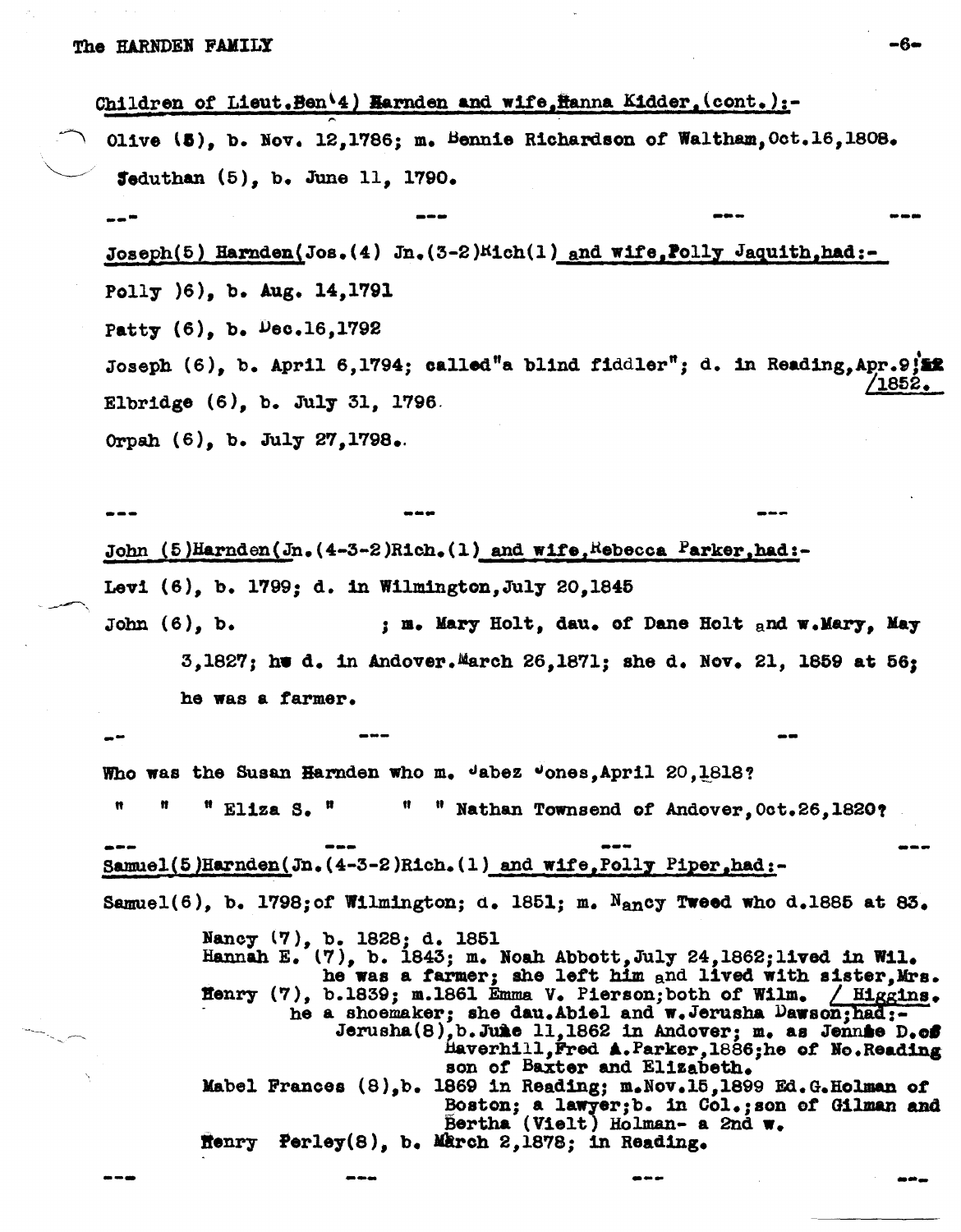Children of Lieut.Ben'4) Harnden and wife, Hanna Kidder, (cont.):-Olive (5), b. Nov. 12,1786; m. Bennie Richardson of Waltham, Oct. 16, 1808.  $5$ eduthan  $(5)$ . b. June 11. 1790.  $Joseph(5)$  Harnden(Jos. (4) Jn. (3-2) $Mich(1)$  and wife, Polly Jaquith, had:-Polly (6), b. Aug. 14,1791 Patty  $(6)$ , b. Dec.16,1792 Joseph  $(6)$ , b. April 6,1794; called"a blind fiddler"; d. in Reading, Apr. 9;  $^{\prime}1852$  . Elbridge  $(6)$ , b. July 31, 1796. Orpah (6), b. July 27, 1798.

-6-

John  $(5)$  Harnden(Jn.  $(4-3-2)$ Rich. (1) and wife, Rebecca Parker, had:-Levi (6), b. 1799; d. in Wilmington, July 20, 1845 John  $(6)$ , b. ; m. Mary Holt, dau. of Dane Holt and w. Mary, May 3,1827; he d. in Andover. March 26,1871; she d. Nov. 21, 1859 at 56; he was a farmer.

Who was the Susan Harnden who m. Jabez Jones, April 20, 1818? n  $"$  Eliza S.  $"$ " "Nathan Townsend of Andover, Oct.26, 1820? Samuel (5) Harnden (Jn.  $(4-3-2)$ Rich. (1) and wife, Polly Piper, had: -Samuel(6), b. 1798; of Wilmington; d. 1851; m. Nancy Tweed who d.1885 at 83. Nancy (7), b. 1828; d. 1851 Hannah E. (7), b. 1843; m. Noah Abbott, July 24, 1862; lived in Wil. he was a farmer; she left him and lived with sister. Mrs. Henry  $(7)$ , b.1839; m.1861 Emma V. Pierson; both of Wilm. / Higgins. he a shoemaker; she dau.Abiel and w.Jerusha Dawson;had;-Jerusha(8), b. June 11, 1862 in Andover: m. as Jennie D.off Haverhill, Fred A. Parker, 1886; he of No. Reading

son of Baxter and Elizabeth. Mabel Frances (8), b. 1869 in Reading; m. Nov. 15, 1899 Ed. G. Holman of Boston; a lawyer; b. in Col.; son of Gilman and Bertha (Vielt) Holman- a 2nd w. Henry Perley(8), b. March 2,1878; in Reading.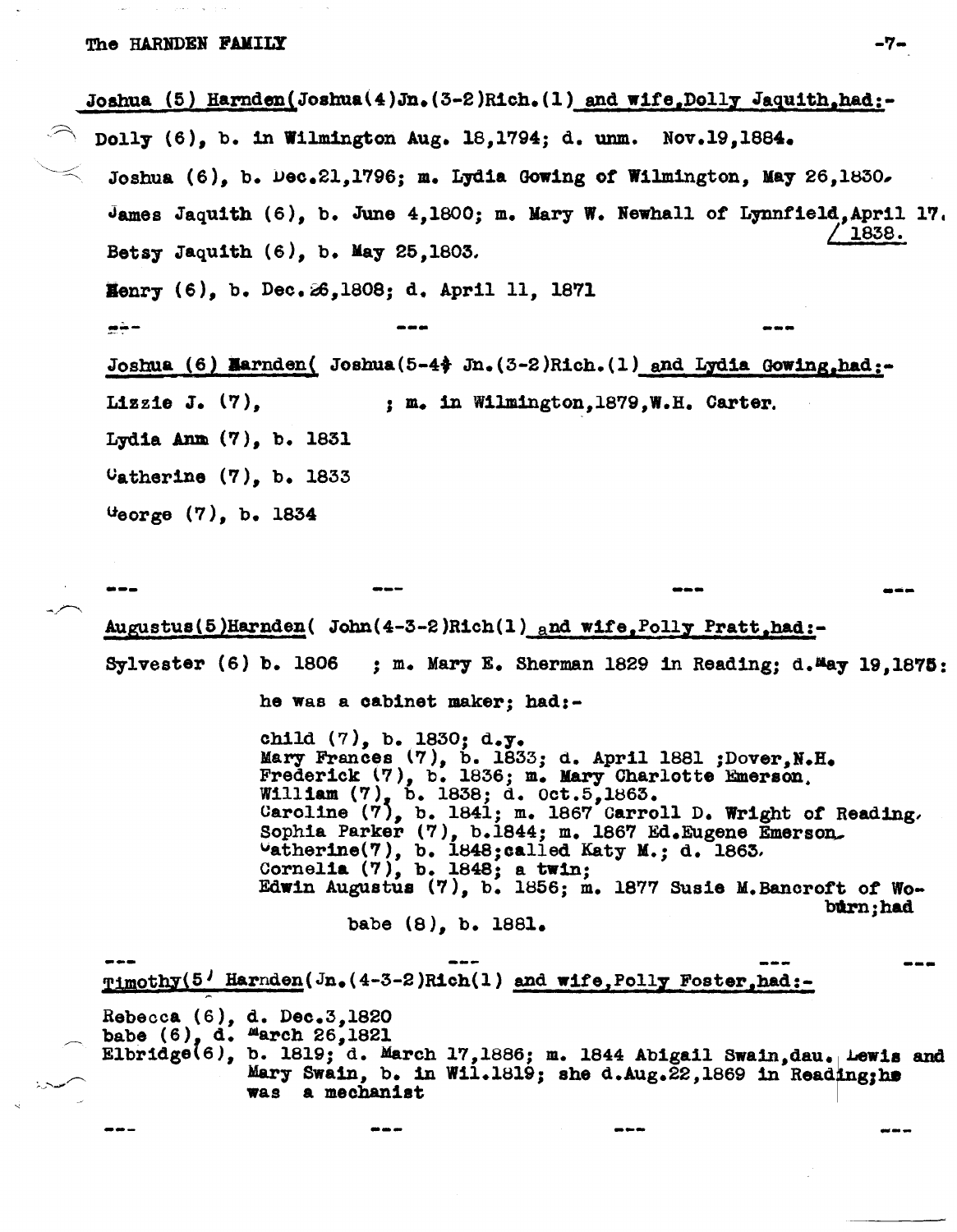Joshua (5) Harnden(Joshua(4)Jn.  $(3-2)$ Rich. (1) and wife, Dolly Jaquith, had:-Dolly (6), b. in Wilmington Aug. 18,1794; d. unm. Nov.19,1884. Joshua (6). b. Dec.21.1796: m. Lydia Gowing of Wilmington. May 26.1830. James Jaquith  $(6)$ , b. June 4,1800; m. Mary W. Newhall of Lynnfield, April 17. 1838. Betsy Jaquith  $(6)$ , b. May 25, 1803. Henry (6), b. Dec. 26, 1808; d. April 11, 1871  $m + -$ Joshua (6) Marnden( Joshua  $(5-4)$  Jn.  $(3-2)$ Rich. (1) and Lydia Gowing, had:-Lizzie J.  $(7)$ . ; m. in Wilmington, 1879, W.H. Carter. Lydia Anm  $(7)$ , b. 1831  $0$ atherine  $(7)$ , b. 1833  $0$   $\frac{1}{2}$   $\frac{1}{2}$   $\frac{1}{2}$   $\frac{1}{2}$   $\frac{1}{2}$   $\frac{1}{2}$   $\frac{1}{2}$   $\frac{1}{2}$   $\frac{1}{2}$   $\frac{1}{2}$   $\frac{1}{2}$   $\frac{1}{2}$   $\frac{1}{2}$   $\frac{1}{2}$   $\frac{1}{2}$   $\frac{1}{2}$   $\frac{1}{2}$   $\frac{1}{2}$   $\frac{1}{2}$   $\frac{1}{2}$   $\frac{1}{2}$   $\frac{1}{2$ 

Augustus(5)Harnden(John(4-3-2)Rich(1) and wife, Polly Pratt, had:-Sylvester  $(6)$  b. 1806 ; m. Mary E. Sherman 1829 in Reading; d. May 19, 1875:

he was a cabinet maker; had:-

child  $(7)$ , b. 1830; d.y. Mary Frances (7), b. 1833; d. April 1881 ;Dover, N.H. Frederick (7), b. 1836; m. Mary Charlotte Emerson. William (7), b. 1838; d. Oct.5, 1863.<br>Caroline (7), b. 1841; m. 1867 Carroll D. Wright of Reading. Sophia Parker (7), b.1844; m. 1867 Ed. Eugene Emerson. Uatherine(7), b. 1848; called Katy M.; d. 1863.<br>Cornelia (7), b. 1848; a twin; Edwin Augustus (7), b. 1856; m. 1877 Susie M. Bancroft of Woburn; had

babe (8), b. 1881.

Timothy(5' Harnden(Jn. (4-3-2)Rich(1) and wife, Polly Foster, had:-

Rebecca (6), d. Dec.3,1820 babe  $(6)$ , d. "arch 26,1821 Elbridge(6), b. 1819; d. March 17,1886; m. 1844 Abigail Swain, dau. Lewis and Mary Swain, b. in Wil.1819; she d.Aug.22,1869 in Reading; he was a mechanist

-7-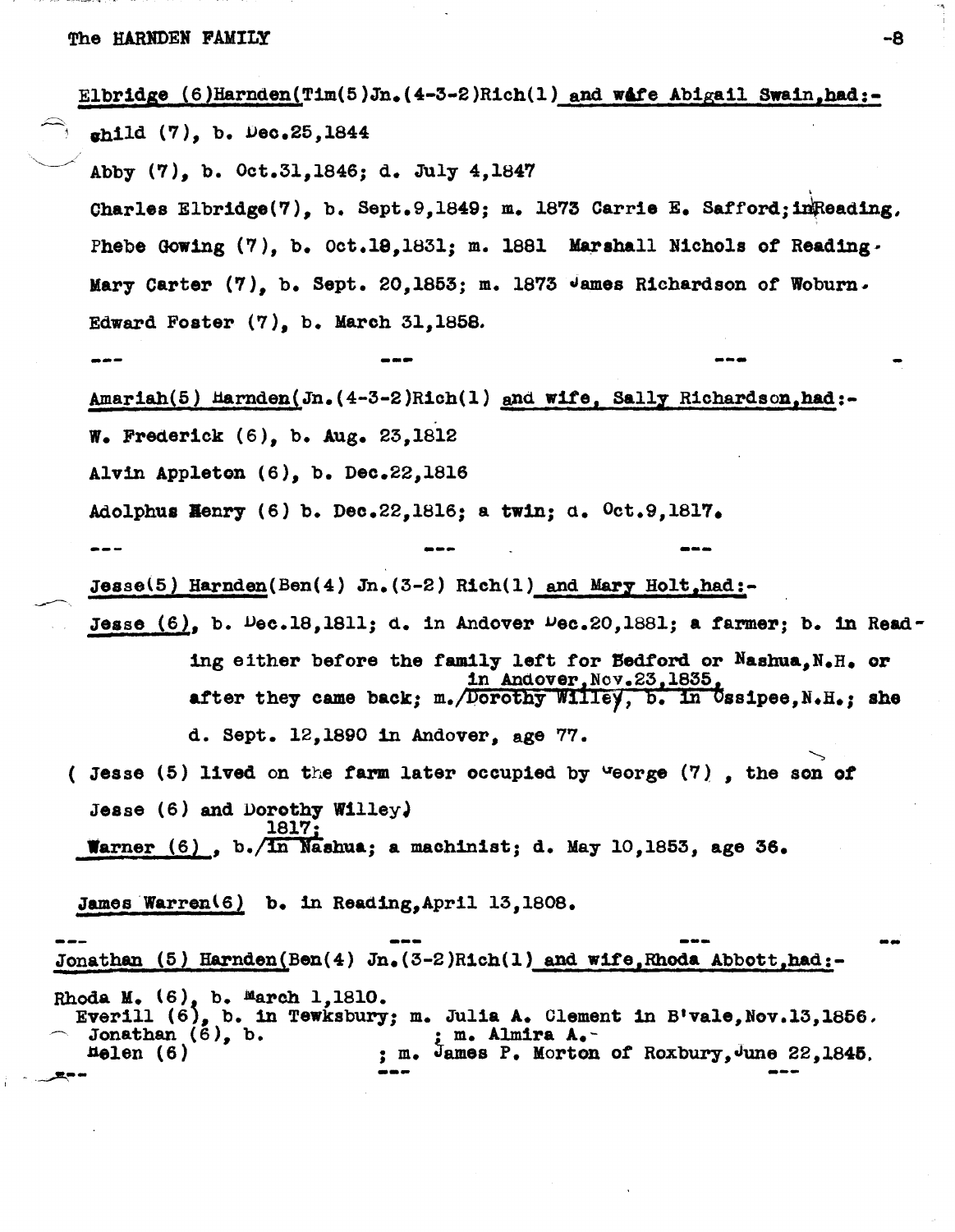|      |                                                                          |                                                                  | Elbridge $(6)$ Harnden(Tim(5)Jn. $(4-3-2)$ Rich(1) and wafe Abigail Swain, had:-                                             |  |  |  |
|------|--------------------------------------------------------------------------|------------------------------------------------------------------|------------------------------------------------------------------------------------------------------------------------------|--|--|--|
|      | ghild (7), b. Dec.25,1844                                                |                                                                  |                                                                                                                              |  |  |  |
|      | Abby (7), b. Oct.31, 1846; d. July 4, 1847                               |                                                                  |                                                                                                                              |  |  |  |
|      |                                                                          |                                                                  | Charles Elbridge(7), b. Sept.9,1849; m. 1873 Carrie E. Safford; inReading.                                                   |  |  |  |
|      |                                                                          |                                                                  | Phebe Gowing (7), b. Oct.18,1831; m. 1881 Marshall Nichols of Reading.                                                       |  |  |  |
|      |                                                                          |                                                                  | Mary Carter (7), b. Sept. 20,1853; m. 1873 James Richardson of Woburn.                                                       |  |  |  |
|      | Edward Foster $(7)$ , b. March 31, 1858.                                 |                                                                  |                                                                                                                              |  |  |  |
|      |                                                                          |                                                                  |                                                                                                                              |  |  |  |
|      |                                                                          |                                                                  | Amariah(5) Harnden(Jn. (4-3-2)Rich(1) and wife, Sally Richardson, had:-                                                      |  |  |  |
|      | W. Frederick $(6)$ , b. Aug. 23,1812                                     |                                                                  |                                                                                                                              |  |  |  |
|      | Alvin Appleton $(6)$ , b. Dec.22,1816                                    |                                                                  |                                                                                                                              |  |  |  |
|      | Adolphus Henry (6) b. Dec.22,1816; a twin; d. $0ct.9,1817.$              |                                                                  |                                                                                                                              |  |  |  |
|      |                                                                          |                                                                  |                                                                                                                              |  |  |  |
|      |                                                                          | Jesse(5) Harnden(Ben(4) Jn. $(3-2)$ Rich(1) and Mary Holt, had:- |                                                                                                                              |  |  |  |
|      |                                                                          |                                                                  | Jesse $(6)$ , b. $Dec.18, 1811$ ; d. in Andover $Dec.20, 1881$ ; a farmer; b. in Read-                                       |  |  |  |
|      |                                                                          |                                                                  | ing either before the family left for Bedford or Nashua. N.H. or                                                             |  |  |  |
|      |                                                                          |                                                                  | in Andover, Nov.23, 1835,<br>after they came back; m./Dorothy Willey, b. in Ussipee, N.H.; she                               |  |  |  |
|      |                                                                          | d. Sept. $12,1890$ in Andover, age 77.                           |                                                                                                                              |  |  |  |
|      |                                                                          |                                                                  | ( Jesse (5) lived on the farm later occupied by "eorge $(7)$ , the son of                                                    |  |  |  |
|      | Jesse $(6)$ and Dorothy Willey.                                          |                                                                  |                                                                                                                              |  |  |  |
|      | 1817:<br>Warner (6), b./In Nashua; a machinist; d. May 10, 1853, age 36. |                                                                  |                                                                                                                              |  |  |  |
|      |                                                                          |                                                                  |                                                                                                                              |  |  |  |
|      | James Warren(6) b. in Reading, April 13, 1808.                           |                                                                  |                                                                                                                              |  |  |  |
|      |                                                                          |                                                                  | Jonathan (5) Harnden(Ben(4) Jn. $(3-2)$ Rich(1) and wife, Rhoda Abbott, had:-                                                |  |  |  |
|      | Rhoda M. $(6)$ , b. March 1,1810.<br>Jonathan $(6)$ , b.<br>$H$ elen (6) | ; m. Almira A.-                                                  | Everill $(6)$ , b. in Tewksbury; m. Julia A. Clement in B'vale, Nov.13,1856.<br>m. James P. Morton of Roxbury, June 22,1845. |  |  |  |
| ▂▀▝▀ |                                                                          |                                                                  |                                                                                                                              |  |  |  |

 $\hat{\phantom{a}}$ 

 $\bar{\mathcal{A}}$ 

-8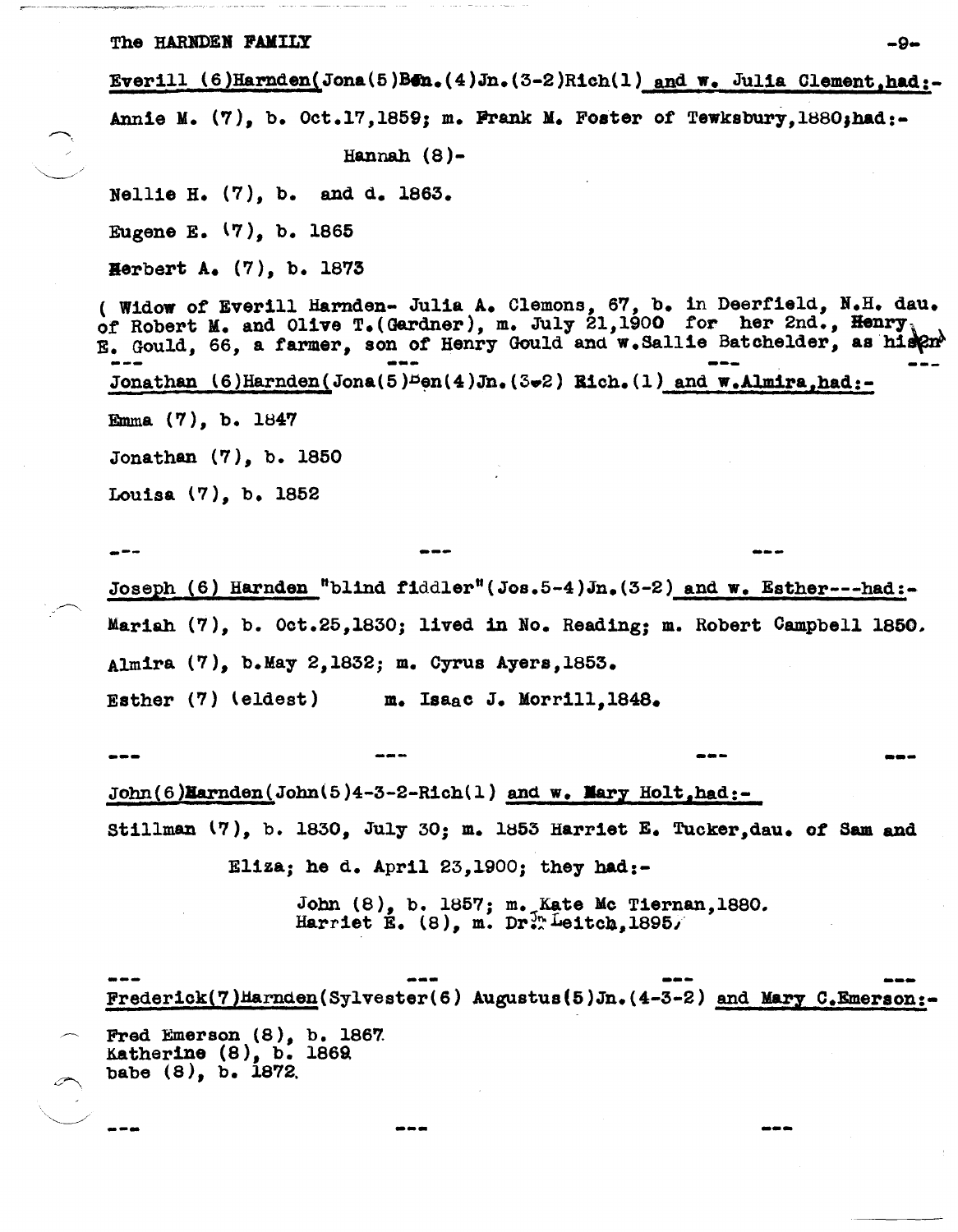Everill  $(6)$ Harnden(Jona $(5)$ Ben. $(4)$ Jn. $(3-2)$ Rich $(1)$  and w. Julia Clement,had:-

Annie M.  $(7)$ , b. Oct.17,1859; m. Frank M. Foster of Tewksbury,1880,had:-

Hannah (8)-

Nellle H. (7), b. and d. 1863.

Eugene E. (7), b. 1865

Herbert A.  $(7)$ , b. 1873

( Wldow of Everill Harnden- Julla A. Clemons, 67, b. in Deerfleld, N.H. dau. of Robert M. and Olive T. (Gardner), m. July 21,1900 for her 2nd., Henry  $E.$  Gould, 66, a farmer, son of Henry Gould and  $w.$  Sallie Batchelder, as his  $\rho x^{\lambda}$ Jonathan  $(6)$  Harnden(Jona(5)<sup>D</sup>en(4)Jn.(3.2) Bich.(1) and w.Almira,had:-Emma (7), b. 1847 Jonathan (7), b. 1850 ---

Louisa (7), b. 1852

--- ---

Joseph  $(6)$  Harnden "blind fiddler"(Jos.5-4)Jn.(3-2) and w. Esther---had:-Mariah (7), b. Oct.25,1830; lived in No. Reading; m. Robert Campbell 1850, Almira (7), b.May 2,1832; m. Cyrus Ayers,1853. Esther (7) (eldest) m. IsaaC J. Morril1,1848.

--- --- ---  $John(6)$ Earnden(John(5)4-3-2-Rich(1) and w. Mary Holt,had:stillman  $(7)$ , b. 1830, July 30; m. 1853 Harriet E. Tucker, dau. of Sam and

Eliza; he d. April  $23,1900$ ; they had:-

--- --- ---

John (8), b. 1857; m. Kate Mc Tiernan, 1880. Harriet E.  $(8)$ , m. Dr. Leitch, 1895/

 $Frederick(7)$ Harnden(Sylvester(6) Augustus(5)Jn.(4-3-2) and Mary C.Emerson:

Fred Emerson (8), b. 1867 Katherine (8), b. 186Q babe  $(8)$ , b. 1872.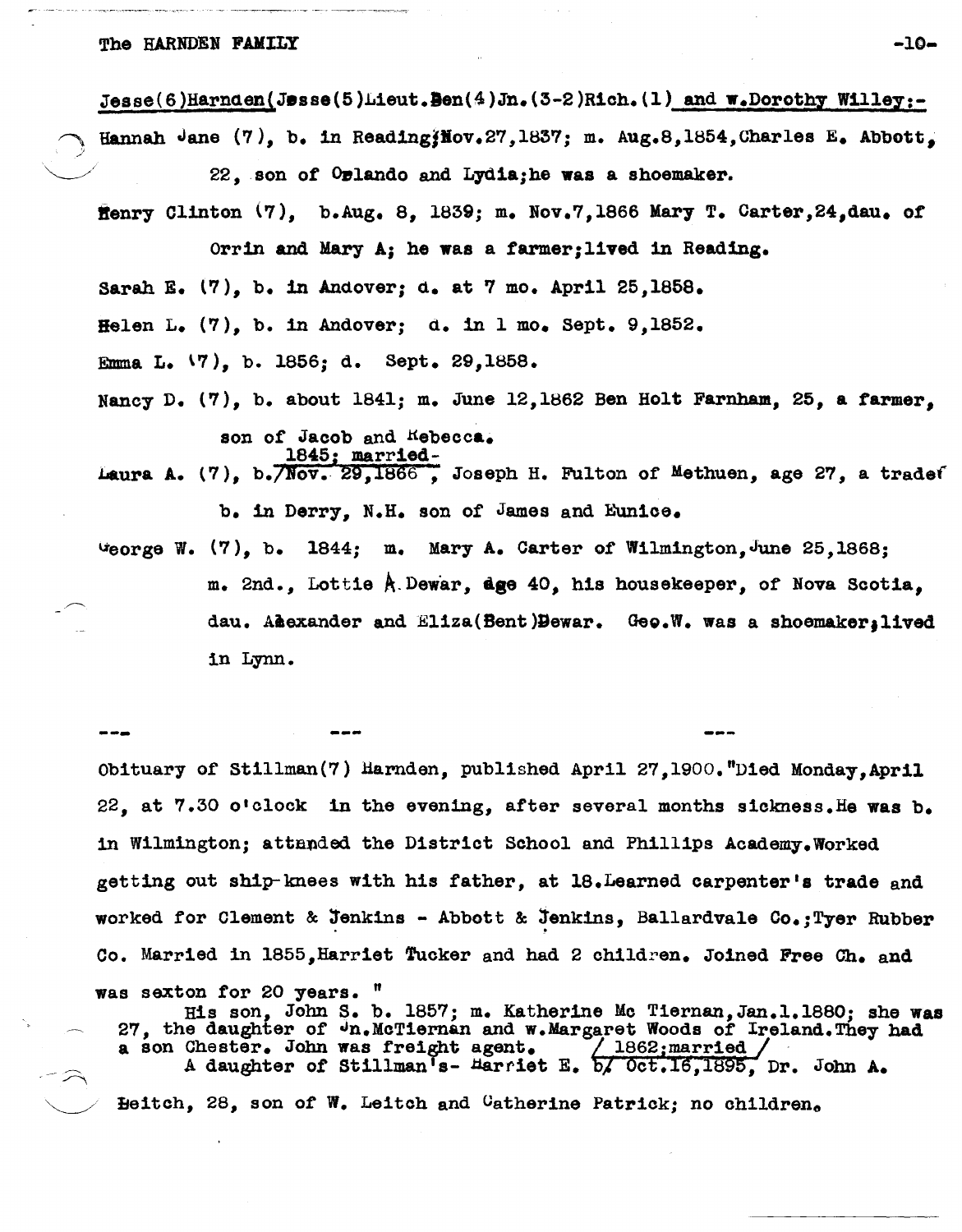### The HARNDEN FAMILY  $-10-$

.)

Jesse(6)Harnden(Jesse(5)Lieut.Den(4)Jn.(3-2)Rich.(1) and w.Dorothy Willey:-

Hannah Jane  $(7)$ , b. in Reading Mov. 27, 1837; m. Aug. 8, 1854, Charles E. Abbott,  $22.$  son of  $0$  plando and Lydia;he was a shoemaker.

ffenry Clinton  $(7)$ , b.Aug. 8, 1839; m. Nov.7,1866 Mary T. Carter, 24, dau. of Orrin and Mary *Ai* he was a farmer;1ived in Reading. Sarah E. (7), b. in Andover; d. at 7 mo. Apr1l 25,1858. Helen L. (7), b. in Andover; d. in 1 mo. Sept. 9,lS52. Emma L. \7), b. 1856; d. Sept. 29,1858. Nancy D. (7), b. about 1841; m. June 12,1862 Ben Holt Farnham, 25, a farmer, son of Jacob and Kebecca. 1845; marr1ed-Laura A. (7), b. *Nov. 29, 1866*, Joseph H. Fulton of Methuen, age 27, a tradef b. in Derry, N.H. son of James and Eunice. ~eorge W. (7), b. lS44; m. Mary A. Carter of Wilmlngton,JUne 25,1868; m. 2nd., Lottie A.Dewar, dge 40, his housekeeper, of Nova Scotia, dau. Aiexander and Eliza(Bent)Dewar. Geo.W. was a shoemaker, lived

in Lynn.

--- Obituary of Stillman(7) Harnden, published April 27,1900. "Died Monday, April 22, at 7.30 o'clock in the evening, after several months sickness.He was b. in Wilmington; attanded the District School and Phillips Academy.Worked getting out ship-knees with his father, at 18. Learned carpenter's trade and worked for Clement & Jenkins - Abbott & Jenkins, Ballardvale Co.; Tyer Rubber Co. Married in 1855, Harriet Tucker and had 2 children. Joined Free Ch. and

was sexton for 20 years. "

His son, John S. b. 1857; m. Katherine Mc Tiernan,Jan.l.lS80; she was 27, the daughter of Un.McTiernan and w.Margaret Woods of Ireland.They had a son Chester. John was freight agent.  $/$  1862; married / . A daughter of Stillman's- Harriet E.  $\frac{1}{6}$ , Oct.16,1895, Dr. John A.  $'$  Eeitch, 28, son of W. Leitch and Catherine Patrick; no children.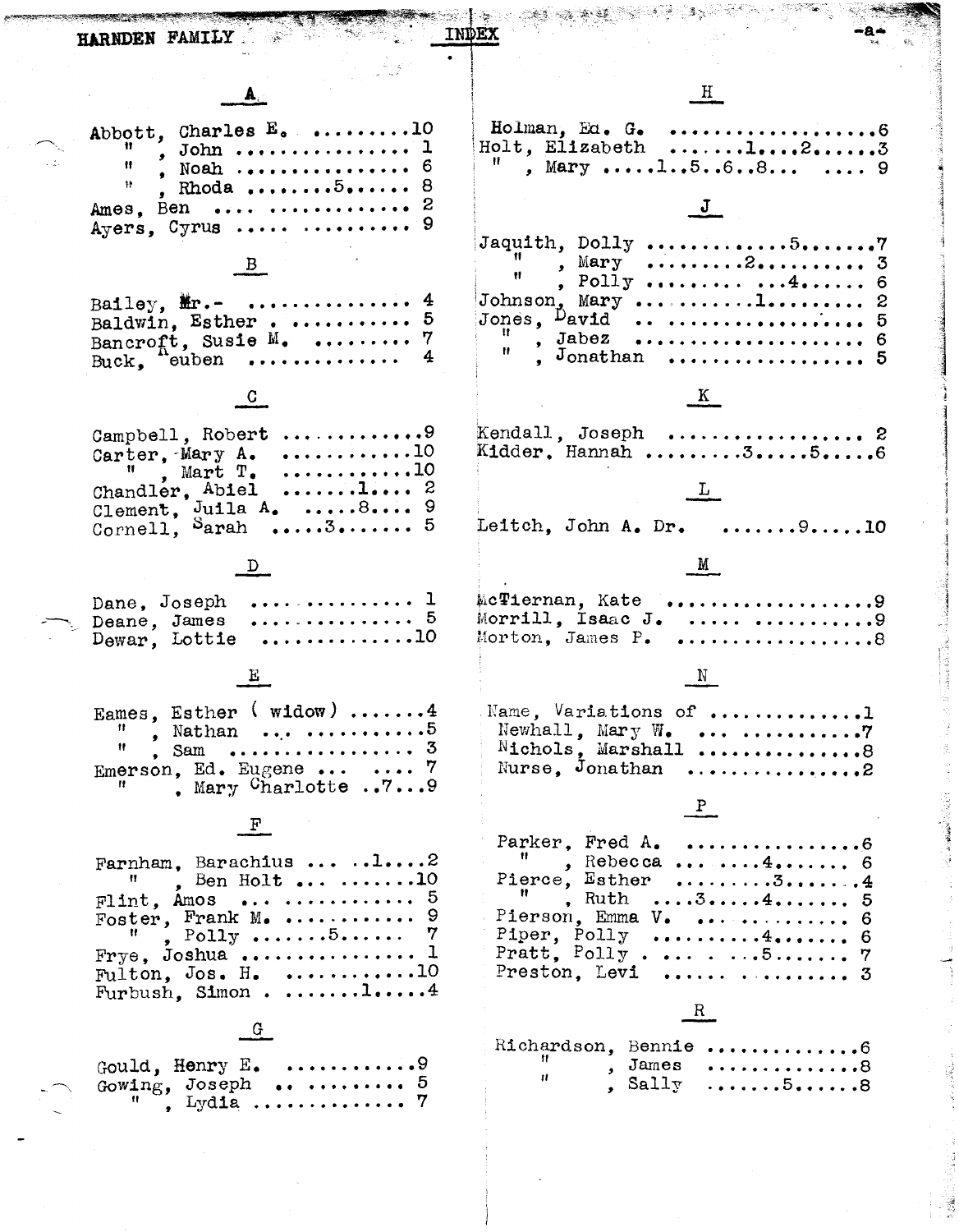| HARNDEN FAMILY                                                                                                                                                                                  |                                                                                                                                                              |  |
|-------------------------------------------------------------------------------------------------------------------------------------------------------------------------------------------------|--------------------------------------------------------------------------------------------------------------------------------------------------------------|--|
|                                                                                                                                                                                                 | H                                                                                                                                                            |  |
| Abbott, Charles $E_0$ 10<br>, John  1<br>Ħ<br>, Noah  6<br>棘<br>, Rhoda $5$ 8<br>Ames, Ben   2<br>Ayers, Cyrus $\ldots \ldots$ 9                                                                | Holman, Ed. G.<br>Holt, Elizabeth l23<br>, Mary 1568  9                                                                                                      |  |
| Bailey, $\mathbf{m} \cdot \mathbf{m}$<br>Baldwin, Esther<br>Bancroft, Susie $M_1$ 7<br>Buck, "euben                                                                                             | , Mary 2 3<br>, Polly $4.4.11$ 6<br>Johnson, Mary 1 2<br>Jones, $\mu$ avid  5<br>, Jabez  6<br>$\frac{1}{2}$ Jonathan $\cdots$ $\cdots$                      |  |
| Campbell, Robert 9                                                                                                                                                                              | K<br>$Kendall, Joseph $ 2                                                                                                                                    |  |
| Carter, Mary A. $\ldots \ldots \ldots 10$<br>$^{\prime\prime}$ , Mart T. 10<br>Chandler, Abiel $1 2$<br>Clement, Juila A. 8 9<br>Cornell, Sarah<br>$\ldots 3 \ldots \ldots 5$                   | Kidder, Hannah 356<br>Leitch, John A. Dr. 910                                                                                                                |  |
|                                                                                                                                                                                                 | M                                                                                                                                                            |  |
| Dane, Joseph  1<br>Deane, James  5<br>$D_{\text{ewar}}$ , Lottie 10                                                                                                                             | . 9<br>McTiernan, Kate<br>Morrill, Isaac J.<br>. 9<br>Morton, James P.<br>. 8                                                                                |  |
|                                                                                                                                                                                                 |                                                                                                                                                              |  |
| Eames, Esther $(widow)$ 4<br>, Nathan  5<br>, Sam  3<br>Emerson, Ed. Eugene $\ldots$ 7<br>. Mary $\text{Charlotte} \dots 7 \dots 9$                                                             | Name, Variations of 1<br>Newhall, Mary $W_{\bullet}$<br>. 7<br>Nichols, Marshall 8<br>Nurse, Jonathan<br>. 2                                                 |  |
|                                                                                                                                                                                                 | Parker, Fred A. 6                                                                                                                                            |  |
| Farnham. Barachius $\ldots$ 2<br>, Ben Holt $\dots 10$<br>Ħ<br>Flint, Amos   5<br>Foster, Frank M.  9<br>$\mathbb{F}$ , Polly 5<br>$Frye$ , Joshua  1<br>Fulton, Jos. H. 10<br>Furbush, Simon14 | $^{\prime\prime}$ , Rebecca 4 6<br>Pierce, Esther 34<br>$\mathbf{R}$ , Ruth 34 5<br>Piper, Polly 4 6<br>Pratt, Polly 5 7<br>Preston. Levi   3<br>$R_{\perp}$ |  |
|                                                                                                                                                                                                 | Richardson, Bennie 6                                                                                                                                         |  |
| Gowing, Joseph  5<br>, Lydia  7                                                                                                                                                                 | $\mathbf{H}_{\mathrm{max}}$<br>, James 8<br>Ħ<br>$\sum_{i=1}^{n}$ Sally $\dots \dots 5 \dots 8$                                                              |  |